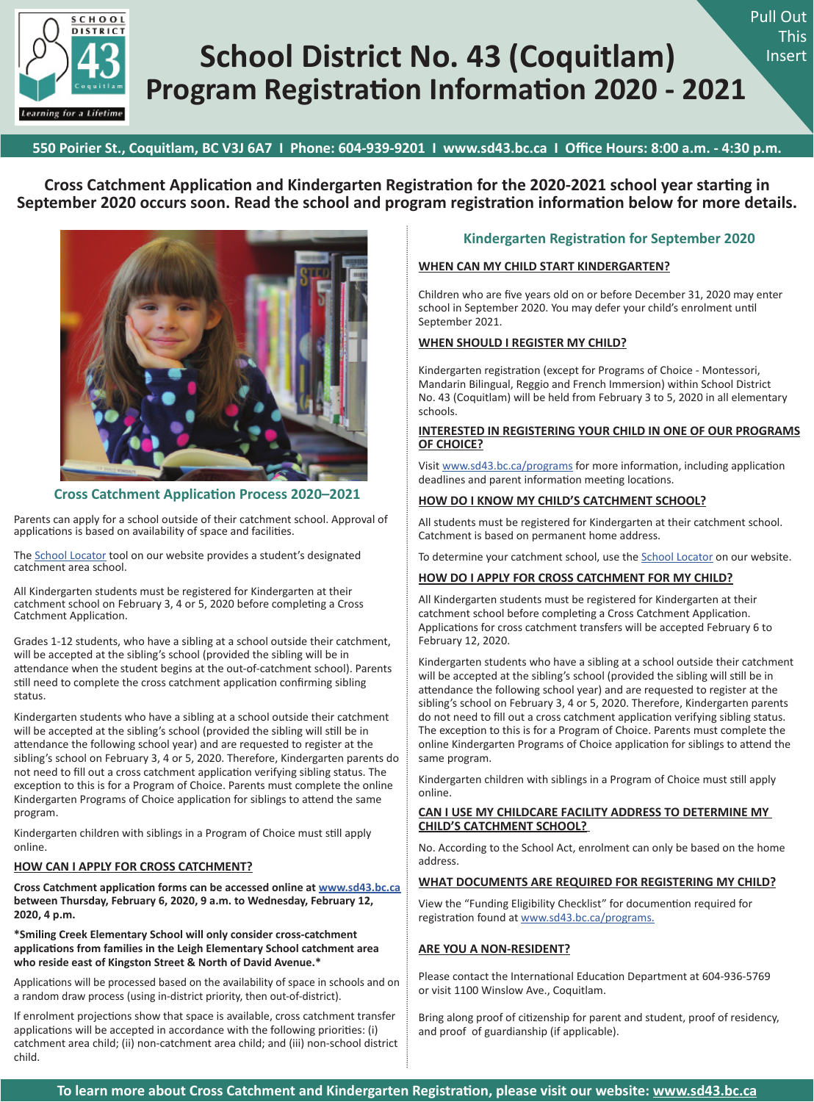

# **School District No. 43 (Coquitlam) Program Registration Information 2020 - 2021**

**550 Poirier St., Coquitlam, BC V3J 6A7 I Phone: 604-939-9201 I www.sd43.bc.ca I Office Hours: 8:00 a.m. - 4:30 p.m.**

**Cross Catchment Application and Kindergarten Registration for the 2020-2021 school year starting in September 2020 occurs soon. Read the school and program registration information below for more details.**



#### **Cross Catchment Application Process 2020–2021**

Parents can apply for a school outside of their catchment school. Approval of applications is based on availability of space and facilities.

The School Locator tool on our website provides a student's designated catchment area school.

All Kindergarten students must be registered for Kindergarten at their catchment school on February 3, 4 or 5, 2020 before completing a Cross Catchment Application.

Grades 1-12 students, who have a sibling at a school outside their catchment, will be accepted at the sibling's school (provided the sibling will be in attendance when the student begins at the out-of-catchment school). Parents still need to complete the cross catchment application confirming sibling status.

Kindergarten students who have a sibling at a school outside their catchment will be accepted at the sibling's school (provided the sibling will still be in attendance the following school year) and are requested to register at the sibling's school on February 3, 4 or 5, 2020. Therefore, Kindergarten parents do not need to fill out a cross catchment application verifying sibling status. The exception to this is for a Program of Choice. Parents must complete the online Kindergarten Programs of Choice application for siblings to attend the same program.

Kindergarten children with siblings in a Program of Choice must still apply online.

#### **HOW CAN I APPLY FOR CROSS CATCHMENT?**

**Cross Catchment application forms can be accessed online at www.sd43.bc.ca between Thursday, February 6, 2020, 9 a.m. to Wednesday, February 12, 2020, 4 p.m.** 

**\*Smiling Creek Elementary School will only consider cross-catchment applications from families in the Leigh Elementary School catchment area who reside east of Kingston Street & North of David Avenue.\***

Applications will be processed based on the availability of space in schools and on a random draw process (using in-district priority, then out-of-district).

If enrolment projections show that space is available, cross catchment transfer applications will be accepted in accordance with the following priorities: (i) catchment area child; (ii) non-catchment area child; and (iii) non-school district child.

#### **Kindergarten Registration for September 2020**

Pull Out

This

Insert

#### **WHEN CAN MY CHILD START KINDERGARTEN?**

Children who are five years old on or before December 31, 2020 may enter school in September 2020. You may defer your child's enrolment until September 2021.

#### **WHEN SHOULD I REGISTER MY CHILD?**

Kindergarten registration (except for Programs of Choice - Montessori, Mandarin Bilingual, Reggio and French Immersion) within School District No. 43 (Coquitlam) will be held from February 3 to 5, 2020 in all elementary schools.

#### **INTERESTED IN REGISTERING YOUR CHILD IN ONE OF OUR PROGRAMS OF CHOICE?**

Visit www.sd43.bc.ca/programs for more information, including application deadlines and parent information meeting locations.

#### **HOW DO I KNOW MY CHILD'S CATCHMENT SCHOOL?**

All students must be registered for Kindergarten at their catchment school. Catchment is based on permanent home address.

To determine your catchment school, use the School Locator on our website.

#### **HOW DO I APPLY FOR CROSS CATCHMENT FOR MY CHILD?**

All Kindergarten students must be registered for Kindergarten at their catchment school before completing a Cross Catchment Application. Applications for cross catchment transfers will be accepted February 6 to February 12, 2020.

Kindergarten students who have a sibling at a school outside their catchment will be accepted at the sibling's school (provided the sibling will still be in attendance the following school year) and are requested to register at the sibling's school on February 3, 4 or 5, 2020. Therefore, Kindergarten parents do not need to fill out a cross catchment application verifying sibling status. The exception to this is for a Program of Choice. Parents must complete the online Kindergarten Programs of Choice application for siblings to attend the same program.

Kindergarten children with siblings in a Program of Choice must still apply online.

#### **CAN I USE MY CHILDCARE FACILITY ADDRESS TO DETERMINE MY CHILD'S CATCHMENT SCHOOL?**

No. According to the School Act, enrolment can only be based on the home address.

#### **WHAT DOCUMENTS ARE REQUIRED FOR REGISTERING MY CHILD?**

View the "Funding Eligibility Checklist" for documention required for registration found at www.sd43.bc.ca/programs.

#### **ARE YOU A NON-RESIDENT?**

Please contact the International Education Department at 604-936-5769 or visit 1100 Winslow Ave., Coquitlam.

Bring along proof of citizenship for parent and student, proof of residency, and proof of guardianship (if applicable).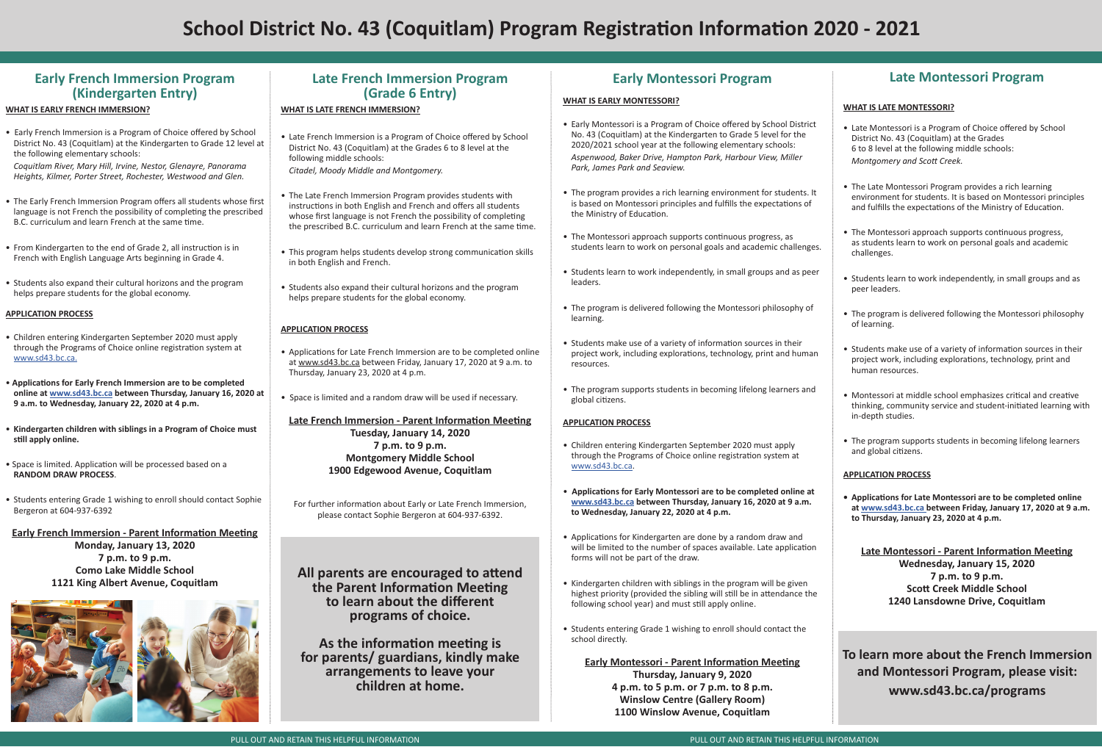# **School District No. 43 (Coquitlam) Program Registration Information 2020 - 2021**

# **Early French Immersion Program (Kindergarten Entry)**

#### **WHAT IS EARLY FRENCH IMMERSION?**

• Early French Immersion is a Program of Choice offered by School District No. 43 (Coquitlam) at the Kindergarten to Grade 12 level at the following elementary schools:

*Coquitlam River, Mary Hill, Irvine, Nestor, Glenayre, Panorama Heights, Kilmer, Porter Street, Rochester, Westwood and Glen.* 

- The Early French Immersion Program offers all students whose first language is not French the possibility of completing the prescribed B.C. curriculum and learn French at the same time.
- From Kindergarten to the end of Grade 2, all instruction is in French with English Language Arts beginning in Grade 4.
- Students also expand their cultural horizons and the program helps prepare students for the global economy.

#### **APPLICATION PROCESS**

- Children entering Kindergarten September 2020 must apply through the Programs of Choice online registration system at www.sd43.bc.ca.
- • **Applications for Early French Immersion are to be completed online at www.sd43.bc.ca between Thursday, January 16, 2020 at 9 a.m. to Wednesday, January 22, 2020 at 4 p.m.**
- **Kindergarten children with siblings in a Program of Choice must still apply online.**
- Space is limited. Application will be processed based on a **RANDOM DRAW PROCESS**.
- Students entering Grade 1 wishing to enroll should contact Sophie Bergeron at 604-937-6392

**Early French Immersion - Parent Information Meeting Monday, January 13, 2020 7 p.m. to 9 p.m. Como Lake Middle School 1121 King Albert Avenue, Coquitlam**





# **Late French Immersion Program (Grade 6 Entry)**

#### **WHAT IS LATE FRENCH IMMERSION?**

• Late French Immersion is a Program of Choice offered by School District No. 43 (Coquitlam) at the Grades 6 to 8 level at the following middle schools:

*Citadel, Moody Middle and Montgomery.*

- The Late French Immersion Program provides students with instructions in both English and French and offers all students whose first language is not French the possibility of completing the prescribed B.C. curriculum and learn French at the same time.
- This program helps students develop strong communication skills in both English and French.
- Students also expand their cultural horizons and the program helps prepare students for the global economy.

#### **APPLICATION PROCESS**

- Applications for Late French Immersion are to be completed online at www.sd43.bc.ca between Friday, January 17, 2020 at 9 a.m. to Thursday, January 23, 2020 at 4 p.m.
- Space is limited and a random draw will be used if necessary.

**Late French Immersion - Parent Information Meeting Tuesday, January 14, 2020 7 p.m. to 9 p.m. Montgomery Middle School 1900 Edgewood Avenue, Coquitlam**

For further information about Early or Late French Immersion, please contact Sophie Bergeron at 604-937-6392.

# **Late Montessori Program**

### **WHAT IS LATE MONTESSORI?**

- Late Montessori is a Program of Choice offered by School District No. 43 (Coquitlam) at the Grades 6 to 8 level at the following middle schools: *Montgomery and Scott Creek.*
- The Late Montessori Program provides a rich learning environment for students. It is based on Montessori principles and fulfills the expectations of the Ministry of Education.
- The Montessori approach supports continuous progress, as students learn to work on personal goals and academic challenges.
- Students learn to work independently, in small groups and as peer leaders.
- The program is delivered following the Montessori philosophy of learning.
- Students make use of a variety of information sources in their project work, including explorations, technology, print and human resources.
- Montessori at middle school emphasizes critical and creative thinking, community service and student-initiated learning with in-depth studies.
- The program supports students in becoming lifelong learners and global citizens.

#### **APPLICATION PROCESS**

**• Applications for Late Montessori are to be completed online at www.sd43.bc.ca between Friday, January 17, 2020 at 9 a.m. to Thursday, January 23, 2020 at 4 p.m.** 

**Late Montessori - Parent Information Meeting Wednesday, January 15, 2020 7 p.m. to 9 p.m. Scott Creek Middle School 1240 Lansdowne Drive, Coquitlam**

# **Early Montessori Program**

#### **WHAT IS EARLY MONTESSORI?**

- Early Montessori is a Program of Choice offered by School District No. 43 (Coquitlam) at the Kindergarten to Grade 5 level for the 2020/2021 school year at the following elementary schools: *Aspenwood, Baker Drive, Hampton Park, Harbour View, Miller Park, James Park and Seaview.*
- The program provides a rich learning environment for students. It is based on Montessori principles and fulfills the expectations of the Ministry of Education.
- The Montessori approach supports continuous progress, as students learn to work on personal goals and academic challenges.
- leaders.
- learning.
- Students make use of a variety of information sources in their project work, including explorations, technology, print and human resources.
- The program supports students in becoming lifelong learners and global citizens.
- Students learn to work independently, in small groups and as peer
- The program is delivered following the Montessori philosophy of

#### **APPLICATION PROCESS**

# • **Applications for Early Montessori are to be completed online at www.sd43.bc.ca between Thursday, January 16, 2020 at 9 a.m.**

- Children entering Kindergarten September 2020 must apply through the Programs of Choice online registration system at www.sd43.bc.ca.
- **to Wednesday, January 22, 2020 at 4 p.m.**
- Applications for Kindergarten are done by a random draw and will be limited to the number of spaces available. Late application forms will not be part of the draw.
- Kindergarten children with siblings in the program will be given highest priority (provided the sibling will still be in attendance the following school year) and must still apply online.
- Students entering Grade 1 wishing to enroll should contact the school directly.

**Early Montessori - Parent Information Meeting Thursday, January 9, 2020 4 p.m. to 5 p.m. or 7 p.m. to 8 p.m. Winslow Centre (Gallery Room) 1100 Winslow Avenue, Coquitlam**

**All parents are encouraged to attend the Parent Information Meeting to learn about the different programs of choice.** 

**As the information meeting is for parents/ guardians, kindly make arrangements to leave your children at home.**

**To learn more about the French Immersion and Montessori Program, please visit: www.sd43.bc.ca/programs**